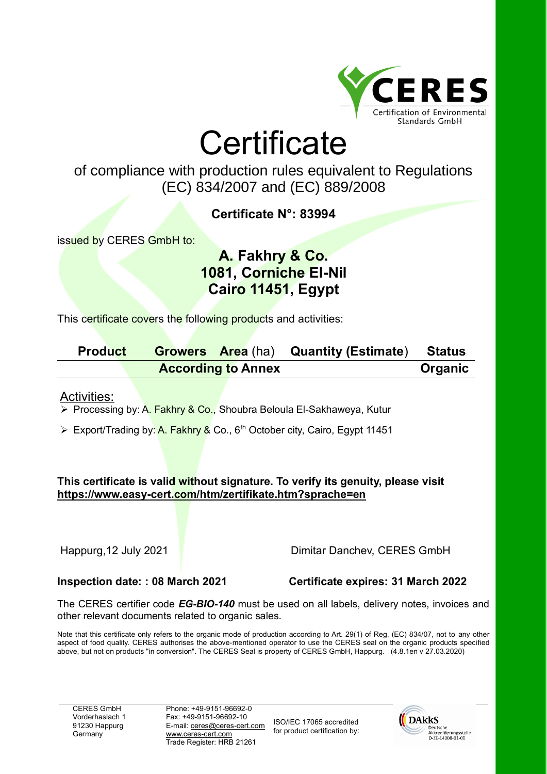

# **Certificate**

# of compliance with production rules equivalent to Regulations (EC) 834/2007 and (EC) 889/2008

# **Certificate N°: 83994**

issued by CERES GmbH to:

# **A. Fakhry & Co. 1081, Corniche El-Nil Cairo 11451, Egypt**

This certificate covers the following products and activities:

| <b>Product</b> |                           | <b>Growers Area</b> (ha) Quantity (Estimate) Status |         |
|----------------|---------------------------|-----------------------------------------------------|---------|
|                | <b>According to Annex</b> |                                                     | Organic |

### Activities:

➢ Processing by: A. Fakhry & Co., Shoubra Beloula El-Sakhaweya, Kutur

➢ Export/Trading by: A. Fakhry & Co., 6th October city, Cairo, Egypt 11451

### **This certificate is valid without signature. To verify its genuity, please visit <https://www.easy-cert.com/htm/zertifikate.htm?sprache=en>**

### Happurg,12 July 2021 Dimitar Danchev, CERES GmbH

**Inspection date: : 08 March 2021 Certificate expires: 31 March 2022**

The CERES certifier code *EG-BIO-140* must be used on all labels, delivery notes, invoices and other relevant documents related to organic sales.

Note that this certificate only refers to the organic mode of production according to Art. 29(1) of Reg. (EC) 834/07, not to any other aspect of food quality. CERES authorises the above-mentioned operator to use the CERES seal on the organic products specified above, but not on products "in conversion". The CERES Seal is property of CERES GmbH, Happurg. (4.8.1en v 27.03.2020)

Phone: +49-9151-96692-0 Fax: +49-9151-96692-10 E-mail: [ceres@ceres-cert.com](mailto:info@ceres-cert.com) [www.ceres-cert.com](mailto:www@ceres-cert.com) Trade Register: HRB 21261

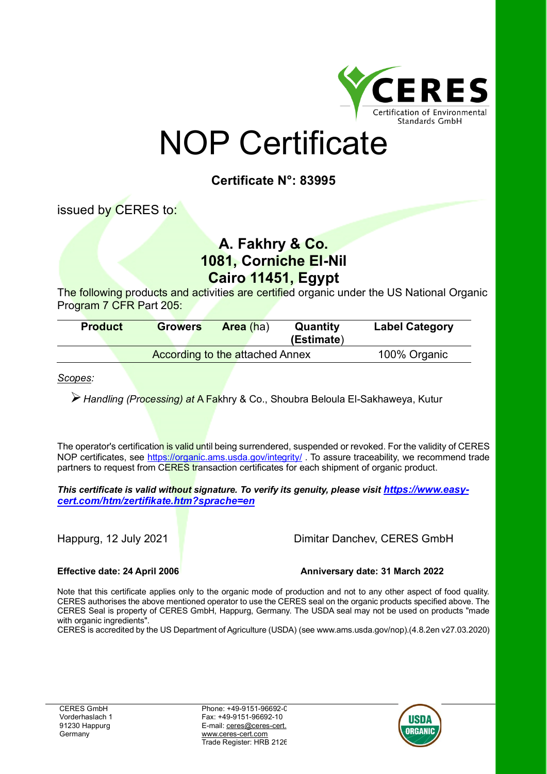

# NOP Certificate

**Certificate N°: 83995**

issued by CERES to:

# **A. Fakhry & Co. 1081, Corniche El-Nil Cairo 11451, Egypt**

The following products and activities are certified organic under the US National Organic Program 7 CFR Part 205:

| <b>Product</b> | <b>Growers</b> | Area (ha)                              | <b>Quantity</b><br>(Estimate) | <b>Label Category</b> |
|----------------|----------------|----------------------------------------|-------------------------------|-----------------------|
|                |                | <b>According to the attached Annex</b> |                               | 100% Organic          |

*Scopes:*

➢*Handling (Processing) at* <sup>A</sup> Fakhry & Co., Shoubra Beloula El-Sakhaweya, Kutur

The operator's certification is valid until being surrendered, suspended or revoked. For the validity of CERES NOP certificates, see<https://organic.ams.usda.gov/integrity/>. To assure traceability, we recommend trade partners to request from CERES transaction certificates for each shipment of organic product.

This certificate is valid without signature. To verify its genuity, please visit [https://www.easy](https://www.easy-cert.com/htm/zertifikate.htm?sprache=en)*[cert.com/htm/zertifikate.htm?sprache=en](https://www.easy-cert.com/htm/zertifikate.htm?sprache=en)*

### Happurg, 12 July 2021 **Dimitar Danchev, CERES GmbH**

**Effective date: 24 April 2006 Anniversary date: 31 March 2022**

Note that this certificate applies only to the organic mode of production and not to any other aspect of food quality. CERES authorises the above mentioned operator to use the CERES seal on the organic products specified above. The CERES Seal is property of CERES GmbH, Happurg, Germany. The USDA seal may not be used on products "made with organic ingredients".

CERES is accredited by the US Department of Agriculture (USDA) (see www.ams.usda.gov/nop).(4.8.2en v27.03.2020)

Phone: +49-9151-96692-0 Fax: +49-9151-96692-10 E-mail: ceres@ceres-cert. [www.ceres-cert.com](mailto:www@ceres-cert.com) Trade Register: HRB 21261

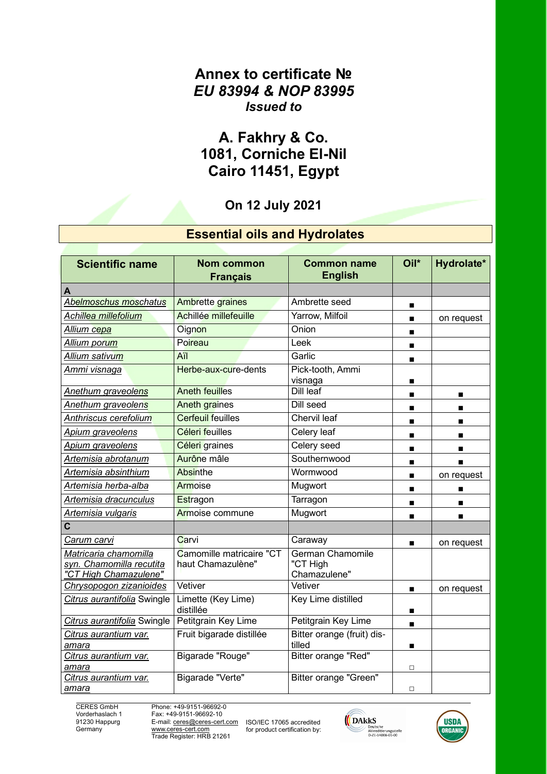## **Annex to certificate №**  *EU 83994 & NOP 83995 Issued to*

# **A. Fakhry & Co. 1081, Corniche El-Nil Cairo 11451, Egypt**

### **On 12 July 2021**

## **Essential oils and Hydrolates**

| <b>Scientific name</b>                                                     | <b>Nom common</b><br><b>Français</b>          | <b>Common name</b><br><b>English</b>                | Oil*           | Hydrolate* |
|----------------------------------------------------------------------------|-----------------------------------------------|-----------------------------------------------------|----------------|------------|
| A                                                                          |                                               |                                                     |                |            |
| A <mark>belmoschus mosc</mark> hatus                                       | <b>Ambrette graines</b>                       | Ambrette seed                                       |                |            |
| Achillea millefolium                                                       | Achillée millefeuille                         | Yarrow, Milfoil                                     | ■              | on request |
| Allium cepa                                                                | Oignon                                        | Onion                                               | $\blacksquare$ |            |
| <u>Allium porum</u>                                                        | Poireau                                       | Leek                                                |                |            |
| Allium sativu <mark>m</mark>                                               | Aïl                                           | Garlic                                              | п              |            |
| <u>Ammi visnaga</u>                                                        | Herbe-aux-cure-dents                          | Pick-tooth, Ammi<br>visnaga                         | ■              |            |
| Anethum graveolens                                                         | <b>Aneth feuilles</b>                         | <b>Dill leaf</b>                                    | п              | п          |
| Anethum graveolens                                                         | <b>Aneth graines</b>                          | <b>Dill seed</b>                                    |                |            |
| Anthriscus cerefolium                                                      | <b>Cerfeuil feuilles</b>                      | Chervil leaf                                        | п              | п          |
| Apium graveolens                                                           | <b>Céleri feuilles</b>                        | Celery leaf                                         | ٠              | п          |
| Apium graveolens                                                           | Céleri graines                                | Celery seed                                         | ■              | ■          |
| Artemisia abrotanum                                                        | Aurône mâle                                   | Southernwood                                        | $\blacksquare$ | ٠          |
| Artemisia absinthium                                                       | <b>Absinthe</b>                               | Wormwood                                            | ٠              | on request |
| Artemisia herba-alba                                                       | Armoise                                       | Mugwort                                             | ■              | п          |
| Artemisia dracunculus                                                      | Estragon                                      | Tarragon                                            | $\blacksquare$ | п          |
| Artemisia vulgaris                                                         | <b>Armoise commune</b>                        | Mugwort                                             | п              | ■          |
| $\overline{\mathbf{c}}$                                                    |                                               |                                                     |                |            |
| Carum carvi                                                                | Carvi                                         | Caraway                                             |                | on request |
| Matricaria chamomilla<br>syn. Chamomilla recutita<br>"CT High Chamazulene" | Camomille matricaire "CT<br>haut Chamazulène" | <b>German Chamomile</b><br>"CT High<br>Chamazulene" |                |            |
| Chrysopogon zizanioides                                                    | Vetiver                                       | Vetiver                                             | $\blacksquare$ | on request |
| Citrus aurantifolia Swingle                                                | Limette (Key Lime)<br>distillée               | Key Lime distilled                                  | ■              |            |
| Citrus aurantifolia Swingle                                                | Petitgrain Key Lime                           | Petitgrain Key Lime                                 | ٠              |            |
| Citrus aurantium var.<br>amara                                             | Fruit bigarade distillée                      | Bitter orange (fruit) dis-<br>tilled                | $\blacksquare$ |            |
| Citrus aurantium var.<br>amara                                             | Bigarade "Rouge"                              | Bitter orange "Red"                                 | $\Box$         |            |
| Citrus aurantium var.<br>amara                                             | Bigarade "Verte"                              | Bitter orange "Green"                               | $\Box$         |            |

 CERES GmbH Vorderhaslach 1 91230 Happurg Germany

Phone: +49-9151-96692-0 Fax: +49-9151-96692-10 E-mail[: ceres@ceres-cert.com](mailto:info@ceres-cert.com) [www.ceres-cert.com](mailto:www@ceres-cert.com) Trade Register: HRB 21261



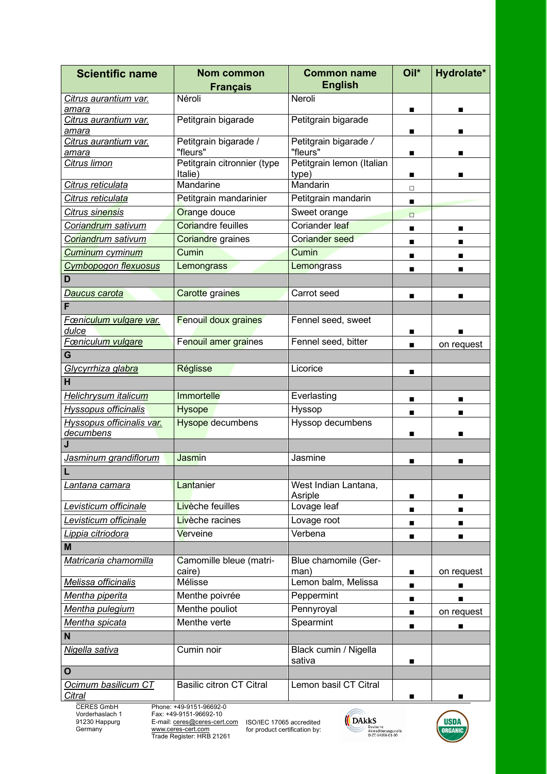| <b>Scientific name</b>                 | Nom common<br><b>Français</b>          | <b>Common name</b><br><b>English</b> | Oil*           | Hydrolate* |
|----------------------------------------|----------------------------------------|--------------------------------------|----------------|------------|
| Citrus aurantium var.<br>amara         | Néroli                                 | Neroli                               | ■              | ■          |
| Citrus aurantium var.<br>amara         | Petitgrain bigarade                    | Petitgrain bigarade                  | ■              | ■          |
| Citrus aurantium var.<br>amara         | Petitgrain bigarade /<br>"fleurs"      | Petitgrain bigarade /<br>"fleurs"    |                | ■          |
| Citrus limon                           | Petitgrain citronnier (type<br>Italie) | Petitgrain lemon (Italian<br>type)   | ■              | ■          |
| Citrus reticulata                      | Mandarine                              | Mandarin                             | □              |            |
| Citrus reticulata                      | Petitgrain mandarinier                 | Petitgrain mandarin                  |                |            |
| Citrus sinensis                        | Orange douce                           | Sweet orange                         | $\Box$         |            |
| Coriandrum sativum                     | <b>Coriandre feuilles</b>              | Coriander leaf                       |                |            |
| Coriandrum sativum                     | Coriandre graines                      | <b>Coriander seed</b>                |                | ■          |
| <b>Cuminum cyminum</b>                 | Cumin                                  | Cumin                                | ■              | ■          |
| <b>Cymbopogon flexuosus</b>            | Lemongrass                             | Lemongrass                           | ■              | ■          |
| D                                      |                                        |                                      |                |            |
| Daucus carota                          | <b>Carotte</b> graines                 | Carrot seed                          | ■              | ■          |
| F                                      |                                        |                                      |                |            |
| Fœniculum vulgare var.<br>dulce        | <b>Fenouil doux graines</b>            | Fennel seed, sweet                   | $\blacksquare$ |            |
| <b>Fœniculum vulgare</b>               | Fenouil amer graines                   | Fennel seed, bitter                  | ■              | on request |
| G                                      |                                        |                                      |                |            |
| Glycyrrhiza glabra                     | <b>Réglisse</b>                        | Licorice                             |                |            |
| $\overline{\mathsf{H}}$                |                                        |                                      |                |            |
| <u>Helichrysum italicum</u>            | <b>Immortelle</b>                      | Everlasting                          |                | ■          |
| <b>Hyssopus officinalis</b>            | <b>Hysope</b>                          | Hyssop                               |                | ■          |
| Hyssopus officinalis var.<br>decumbens | <b>Hysope decumbens</b>                | Hyssop decumbens                     | ■              | ■          |
| Jasminum grandiflorum                  | Jasmin                                 | Jasmine                              | ■              | ■          |
|                                        |                                        |                                      |                |            |
| <u>Lantana camara</u>                  | Lantanier                              | West Indian Lantana,<br>Asriple      |                |            |
| Levisticum officinale                  | Livèche feuilles                       | Lovage leaf                          | ■              | ■          |
| Levisticum officinale                  | Livèche racines                        | Lovage root                          | п              | п          |
| Lippia citriodora                      | Verveine                               | Verbena                              | ■              |            |
| M                                      |                                        |                                      |                |            |
| Matricaria chamomilla                  | Camomille bleue (matri-<br>caire)      | Blue chamomile (Ger-<br>man)         | ■              | on request |
| Melissa officinalis                    | Mélisse                                | Lemon balm, Melissa                  | п              | ■          |
| Mentha piperita                        | Menthe poivrée                         | Peppermint                           | п              | ■          |
| Mentha pulegium                        | Menthe pouliot                         | Pennyroyal                           |                | on request |
| Mentha spicata                         | Menthe verte                           | Spearmint                            |                | ■          |
| N                                      |                                        |                                      |                |            |
| Nigella sativa                         | Cumin noir                             | Black cumin / Nigella<br>sativa      |                |            |
| O                                      |                                        |                                      |                |            |
| Ocimum basilicum CT<br><b>Citral</b>   | <b>Basilic citron CT Citral</b>        | Lemon basil CT Citral                | п              | ■          |

 CERES GmbH Vorderhaslach 1 91230 Happurg Germany

Phone: +49-9151-96692-0 Fax: +49-9151-96692-10 E-mail: <u>ceres@ceres-cert.com</u><br>[www.ceres-cert.com](mailto:www@ceres-cert.com) Trade Register: HRB 21261



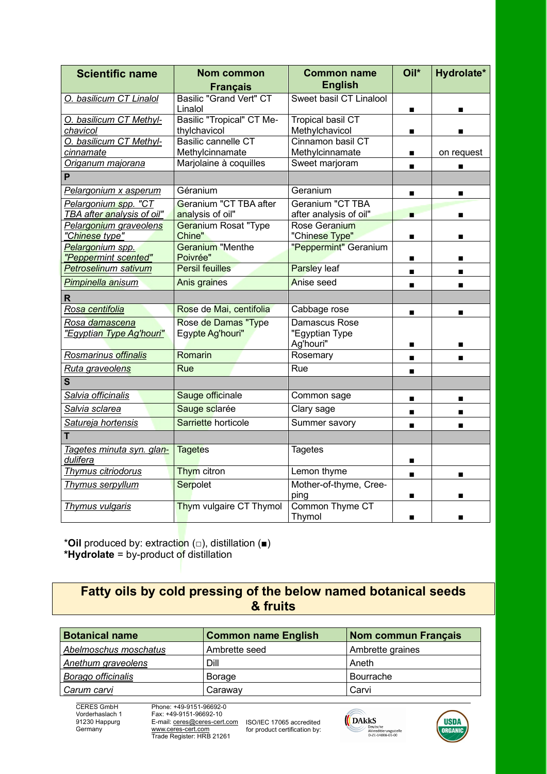| <b>Scientific name</b>                             | Nom common<br><b>Français</b>               | <b>Common name</b><br><b>English</b> | Oil*           | Hydrolate* |
|----------------------------------------------------|---------------------------------------------|--------------------------------------|----------------|------------|
| O. basilicum CT Linalol                            | <b>Basilic "Grand Vert" CT</b>              | Sweet basil CT Linalool              |                |            |
| O. basilicum CT Methyl-                            | Linalol<br><b>Basilic "Tropical" CT Me-</b> | Tropical basil CT                    |                |            |
| chavicol                                           | thylchavicol                                | Methylchavicol                       | ▬              | ▬          |
| O. basilicum CT Methyl-<br>cinnamate               | Basilic cannelle CT<br>Methylcinnamate      | Cinnamon basil CT<br>Methylcinnamate |                | on request |
| Origanum majorana                                  | Marjolaine à coquilles                      | Sweet marjoram                       |                |            |
| P                                                  |                                             |                                      | $\blacksquare$ | ■          |
| Pelargonium x asperum                              | Géranium                                    | Geranium                             |                |            |
|                                                    | Geranium "CT TBA after                      | Geranium "CT TBA                     |                |            |
| Pelargonium spp. "CT<br>TBA after analysis of oil" | analysis of oil"                            | after analysis of oil"               | ٠              |            |
| Pelargonium graveolens                             | <b>Geranium Rosat "Type</b>                 | Rose Geranium                        |                |            |
| "Chinese type"                                     | Chine"                                      | "Chinese Type"                       |                |            |
| Pelargonium spp.                                   | <b>Geranium "Menthe</b>                     | "Peppermint" Geranium                |                |            |
| "Peppermint scented"                               | Poivrée"                                    |                                      |                |            |
| Petroselinum sativum                               | <b>Persil feuilles</b>                      | <b>Parsley</b> leaf                  |                | п          |
| Pimpinella anisum                                  | Anis graines                                | Anise seed                           | ■              | ■          |
| R                                                  |                                             |                                      |                |            |
| Rosa centifolia                                    | Rose de Mai, centifolia                     | Cabbage rose                         | п              | ■          |
| Rosa damascena                                     | Rose de Damas "Type                         | Damascus Rose                        |                |            |
| "Egyptian Type Ag'houri"                           | Egypte Ag'houri"                            | "Egyptian Type                       |                |            |
|                                                    |                                             | Ag'houri"                            | ■              | ▬          |
| Rosmarinus offinalis                               | Romarin                                     | Rosemary                             | $\blacksquare$ |            |
| Ruta graveolens                                    | Rue                                         | Rue                                  |                |            |
| S                                                  |                                             |                                      |                |            |
| Salvia officinalis                                 | Sauge officinale                            | Common sage                          |                | ■          |
| Salvia sclarea                                     | Sauge sclarée                               | Clary sage                           |                | ■          |
| Satureja hortensis                                 | Sarriette horticole                         | Summer savory                        |                | п          |
| т                                                  |                                             |                                      |                |            |
| Tagetes minuta syn. glan-<br>dulifera              | <b>Tagetes</b>                              | <b>Tagetes</b>                       |                |            |
| Thymus citriodorus                                 | Thym citron                                 | Lemon thyme                          |                |            |
| Thymus serpyllum                                   | Serpolet                                    | Mother-of-thyme, Cree-               |                |            |
|                                                    |                                             | ping                                 |                |            |
| Thymus vulgaris                                    | Thym vulgaire CT Thymol                     | Common Thyme CT<br>Thymol            | ■              | ▬          |

\***Oil** produced by: extraction (□), distillation (■) **\*Hydrolate** = by-product of distillation

### **Fatty oils by cold pressing of the below named botanical seeds & fruits**

| <b>Botanical name</b> | <b>Common name English</b> | <b>Nom commun Français</b> |
|-----------------------|----------------------------|----------------------------|
| Abelmoschus moschatus | Ambrette seed              | Ambrette graines           |
| Anethum graveolens    | Dill                       | Aneth                      |
| Borago officinalis    | <b>Borage</b>              | Bourrache                  |
| Carum carvi           | Caraway                    | Carvi                      |

 CERES GmbH Vorderhaslach 1 91230 Happurg Germany

Phone: +49-9151-96692-0 Fax: +49-9151-96692-10 E-mail[: ceres@ceres-cert.com](mailto:info@ceres-cert.com) ISO/IEC 17065 accredited [www.ceres-cert.com](mailto:www@ceres-cert.com) Trade Register: HRB 21261

for product certification by:



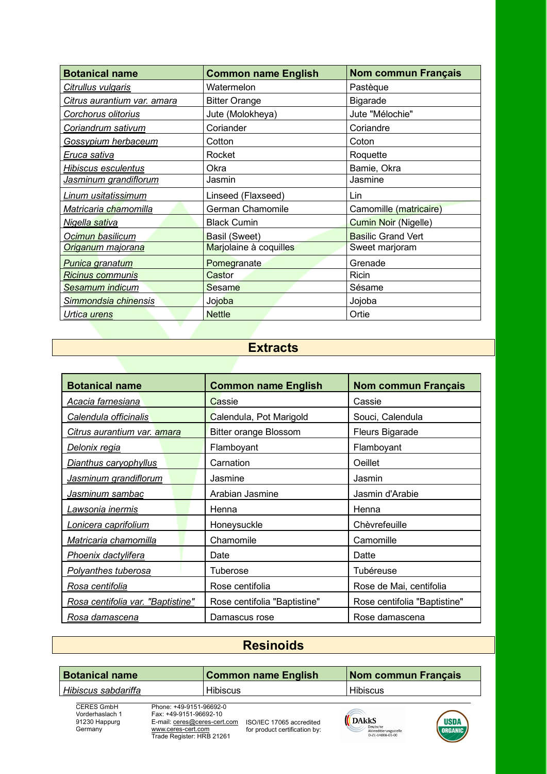| <b>Botanical name</b>       | <b>Common name English</b> | <b>Nom commun Français</b>  |
|-----------------------------|----------------------------|-----------------------------|
| Citrullus vulgaris          | Watermelon                 | Pastèque                    |
| Citrus aurantium var. amara | <b>Bitter Orange</b>       | <b>Bigarade</b>             |
| Corchorus olitorius         | Jute (Molokheya)           | Jute "Mélochie"             |
| Coriandrum sativum          | Coriander                  | Coriandre                   |
| <u>Gossypium herbaceum</u>  | Cotton                     | Coton                       |
| Eruca sativa                | Rocket                     | Roquette                    |
| Hibiscus esculentus         | Okra                       | Bamie, Okra                 |
| Jasminum grandiflorum       | Jasmin                     | Jasmine                     |
| Linum usitatissimum         | Linseed (Flaxseed)         | Lin                         |
| Matricaria chamomilla       | German Chamomile           | Camomille (matricaire)      |
| Nigella sativa              | <b>Black Cumin</b>         | <b>Cumin Noir (Nigelle)</b> |
| <u>Ocimun basilicum</u>     | Basil (Sweet)              | <b>Basilic Grand Vert</b>   |
| <u>Origanum majorana</u>    | Marjolaine à coquilles     | Sweet marjoram              |
| <u>Punica granatum</u>      | Pomegranate                | Grenade                     |
| <b>Ricinus communis</b>     | Castor                     | Ricin                       |
| <u>Sesamum indicum</u>      | Sesame                     | Sésame                      |
| Simmondsia chinensis        | Jojoba                     | Jojoba                      |
| Urtica urens                | <b>Nettle</b>              | Ortie                       |

### **Extracts**

| <b>Botanical name</b>              | <b>Common name English</b>   | <b>Nom commun Français</b>   |
|------------------------------------|------------------------------|------------------------------|
| <u>Acacia farnesiana</u>           | Cassie                       | Cassie                       |
| Calendula officinalis              | Calendula, Pot Marigold      | Souci, Calendula             |
| <u>Citrus aurantium var. amara</u> | <b>Bitter orange Blossom</b> | Fleurs Bigarade              |
| <u>Delonix regia</u>               | Flamboyant                   | Flamboyant                   |
| Dianthus caryophyllus              | Carnation                    | Oeillet                      |
| Jasminum grandiflorum              | Jasmine                      | Jasmin                       |
| Jasminum sambac                    | Arabian Jasmine              | Jasmin d'Arabie              |
| Lawsonia inermis                   | Henna                        | Henna                        |
| <b>Lonicera caprifolium</b>        | Honeysuckle                  | Chèvrefeuille                |
| <u>Matricaria chamomilla</u>       | Chamomile                    | Camomille                    |
| <b>Phoenix dactylifera</b>         | Date                         | Datte                        |
| <b>Polyanthes tuberosa</b>         | Tuberose                     | Tubéreuse                    |
| <u>Rosa centifolia</u>             | Rose centifolia              | Rose de Mai, centifolia      |
| Rosa centifolia var. "Baptistine"  | Rose centifolia "Baptistine" | Rose centifolia "Baptistine" |
| Rosa damascena                     | Damascus rose                | Rose damascena               |

# **Resinoids**

| <b>Botanical name</b> | <b>Common name English</b> | Nom commun Français |
|-----------------------|----------------------------|---------------------|
| Hibiscus sabdariffa   | <b>Hibiscus</b>            | <b>Hibiscus</b>     |

 CERES GmbH Vorderhaslach 1 91230 Happurg Germany

Phone: +49-9151-96692-0 Fax: +49-9151-96692-10 E-mail: <u>ceres@ceres-cert.com</u><br>[www.ceres-cert.com](mailto:www@ceres-cert.com) Trade Register: HRB 21261